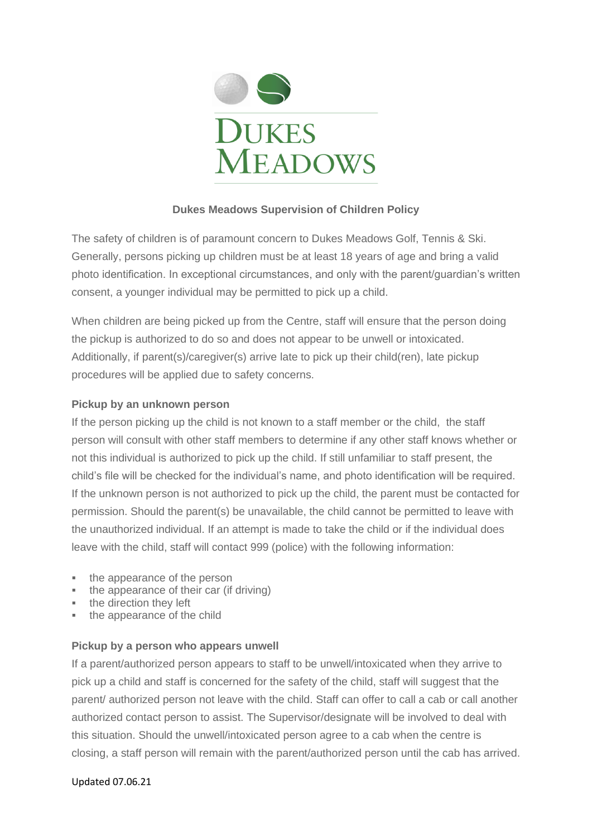

# **Dukes Meadows Supervision of Children Policy**

The safety of children is of paramount concern to Dukes Meadows Golf, Tennis & Ski. Generally, persons picking up children must be at least 18 years of age and bring a valid photo identification. In exceptional circumstances, and only with the parent/guardian's written consent, a younger individual may be permitted to pick up a child.

When children are being picked up from the Centre, staff will ensure that the person doing the pickup is authorized to do so and does not appear to be unwell or intoxicated. Additionally, if parent(s)/caregiver(s) arrive late to pick up their child(ren), late pickup procedures will be applied due to safety concerns.

# **Pickup by an unknown person**

If the person picking up the child is not known to a staff member or the child, the staff person will consult with other staff members to determine if any other staff knows whether or not this individual is authorized to pick up the child. If still unfamiliar to staff present, the child's file will be checked for the individual's name, and photo identification will be required. If the unknown person is not authorized to pick up the child, the parent must be contacted for permission. Should the parent(s) be unavailable, the child cannot be permitted to leave with the unauthorized individual. If an attempt is made to take the child or if the individual does leave with the child, staff will contact 999 (police) with the following information:

- the appearance of the person
- the appearance of their car (if driving)
- **•** the direction they left
- the appearance of the child

# **Pickup by a person who appears unwell**

If a parent/authorized person appears to staff to be unwell/intoxicated when they arrive to pick up a child and staff is concerned for the safety of the child, staff will suggest that the parent/ authorized person not leave with the child. Staff can offer to call a cab or call another authorized contact person to assist. The Supervisor/designate will be involved to deal with this situation. Should the unwell/intoxicated person agree to a cab when the centre is closing, a staff person will remain with the parent/authorized person until the cab has arrived.